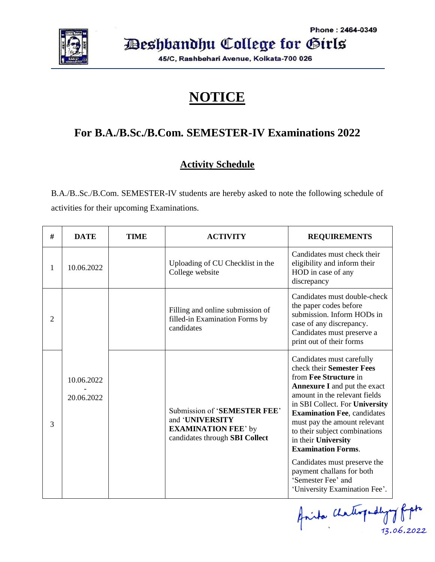

Deshbandhu College for Girls

45/C, Rashbehari Avenue, Kolkata-700 026

## **NOTICE**

### **For B.A./B.Sc./B.Com. SEMESTER-IV Examinations 2022**

### **Activity Schedule**

B.A./B..Sc./B.Com. SEMESTER-IV students are hereby asked to note the following schedule of activities for their upcoming Examinations.

| # | <b>DATE</b>              | <b>TIME</b> | <b>ACTIVITY</b>                                                                                                 | <b>REQUIREMENTS</b>                                                                                                                                                                                                                                                                                                                                                                                                                                                      |
|---|--------------------------|-------------|-----------------------------------------------------------------------------------------------------------------|--------------------------------------------------------------------------------------------------------------------------------------------------------------------------------------------------------------------------------------------------------------------------------------------------------------------------------------------------------------------------------------------------------------------------------------------------------------------------|
| 1 | 10.06.2022               |             | Uploading of CU Checklist in the<br>College website                                                             | Candidates must check their<br>eligibility and inform their<br>HOD in case of any<br>discrepancy                                                                                                                                                                                                                                                                                                                                                                         |
| 2 |                          |             | Filling and online submission of<br>filled-in Examination Forms by<br>candidates                                | Candidates must double-check<br>the paper codes before<br>submission. Inform HODs in<br>case of any discrepancy.<br>Candidates must preserve a<br>print out of their forms                                                                                                                                                                                                                                                                                               |
| 3 | 10.06.2022<br>20.06.2022 |             | Submission of 'SEMESTER FEE'<br>and 'UNIVERSITY<br><b>EXAMINATION FEE' by</b><br>candidates through SBI Collect | Candidates must carefully<br>check their Semester Fees<br>from Fee Structure in<br><b>Annexure I</b> and put the exact<br>amount in the relevant fields<br>in SBI Collect. For University<br><b>Examination Fee, candidates</b><br>must pay the amount relevant<br>to their subject combinations<br>in their University<br><b>Examination Forms.</b><br>Candidates must preserve the<br>payment challans for both<br>'Semester Fee' and<br>'University Examination Fee'. |

faita chathogedhyog fight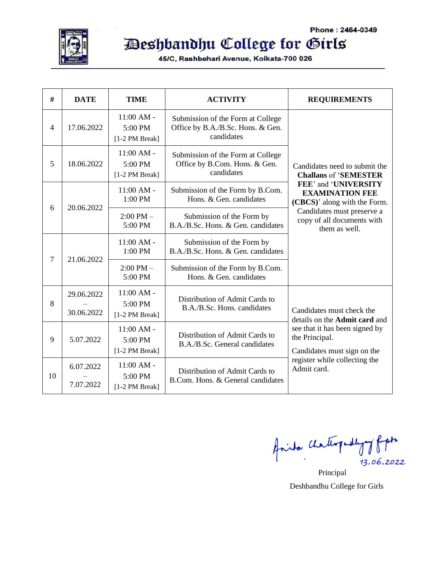

# Deshbandhu College for Girls

45/C, Rashbehari Avenue, Kolkata-700 026

| #  | <b>DATE</b>            | <b>TIME</b>                               | <b>ACTIVITY</b>                                                                      | <b>REQUIREMENTS</b>                                                                                                                                                                                                          |  |
|----|------------------------|-------------------------------------------|--------------------------------------------------------------------------------------|------------------------------------------------------------------------------------------------------------------------------------------------------------------------------------------------------------------------------|--|
| 4  | 17.06.2022             | $11:00 AM -$<br>5:00 PM<br>[1-2 PM Break] | Submission of the Form at College<br>Office by B.A./B.Sc. Hons. & Gen.<br>candidates | Candidates need to submit the<br><b>Challans of 'SEMESTER</b><br>FEE' and 'UNIVERSITY<br><b>EXAMINATION FEE</b><br>(CBCS)' along with the Form.<br>Candidates must preserve a<br>copy of all documents with<br>them as well. |  |
| 5  | 18.06.2022             | $11:00 AM -$<br>5:00 PM<br>[1-2 PM Break] | Submission of the Form at College<br>Office by B.Com. Hons. & Gen.<br>candidates     |                                                                                                                                                                                                                              |  |
| 6  | 20.06.2022             | $11:00 AM -$<br>1:00 PM                   | Submission of the Form by B.Com.<br>Hons. & Gen. candidates                          |                                                                                                                                                                                                                              |  |
|    |                        | $2:00$ PM $-$<br>5:00 PM                  | Submission of the Form by<br>B.A./B.Sc. Hons. & Gen. candidates                      |                                                                                                                                                                                                                              |  |
| 7  | 21.06.2022             | $11:00$ AM -<br>1:00 PM                   | Submission of the Form by<br>B.A./B.Sc. Hons. & Gen. candidates                      |                                                                                                                                                                                                                              |  |
|    |                        | $2:00$ PM $-$<br>5:00 PM                  | Submission of the Form by B.Com.<br>Hons. & Gen. candidates                          |                                                                                                                                                                                                                              |  |
| 8  | 29.06.2022             | $11:00 AM -$<br>5:00 PM                   | Distribution of Admit Cards to                                                       |                                                                                                                                                                                                                              |  |
|    | 30.06.2022             | [1-2 PM Break]                            | B.A./B.Sc. Hons. candidates                                                          | Candidates must check the<br>details on the Admit card and                                                                                                                                                                   |  |
| 9  | 5.07.2022              | $11:00 AM -$<br>5:00 PM<br>[1-2 PM Break] | Distribution of Admit Cards to<br>B.A./B.Sc. General candidates                      | see that it has been signed by<br>the Principal.<br>Candidates must sign on the<br>register while collecting the<br>Admit card.                                                                                              |  |
| 10 | 6.07.2022<br>7.07.2022 | $11:00$ AM -<br>5:00 PM<br>[1-2 PM Break] | Distribution of Admit Cards to<br>B.Com. Hons. & General candidates                  |                                                                                                                                                                                                                              |  |

Anita Chathypodyny fipt 13.06.2022

Principal Deshbandhu College for Girls